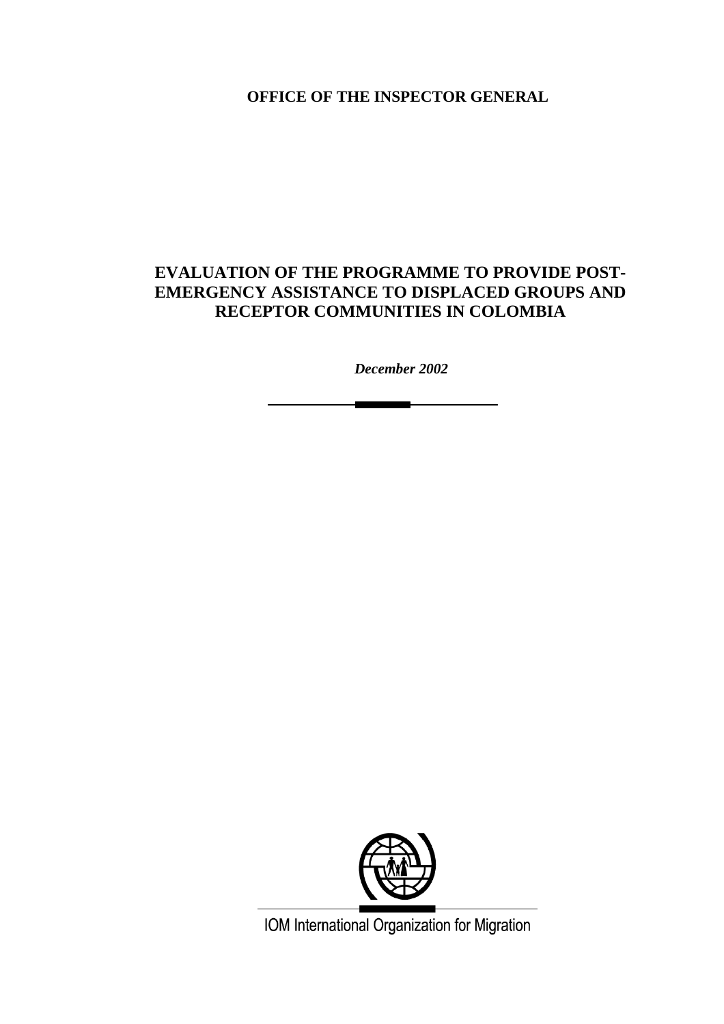**OFFICE OF THE INSPECTOR GENERAL** 

# **EVALUATION OF THE PROGRAMME TO PROVIDE POST-EMERGENCY ASSISTANCE TO DISPLACED GROUPS AND RECEPTOR COMMUNITIES IN COLOMBIA**

*December 2002* 

<u>and the second property of the second property of the second property of the second property of the second property of the second property of the second property of the second property of the second property of the second</u>



IOM International Organization for Migration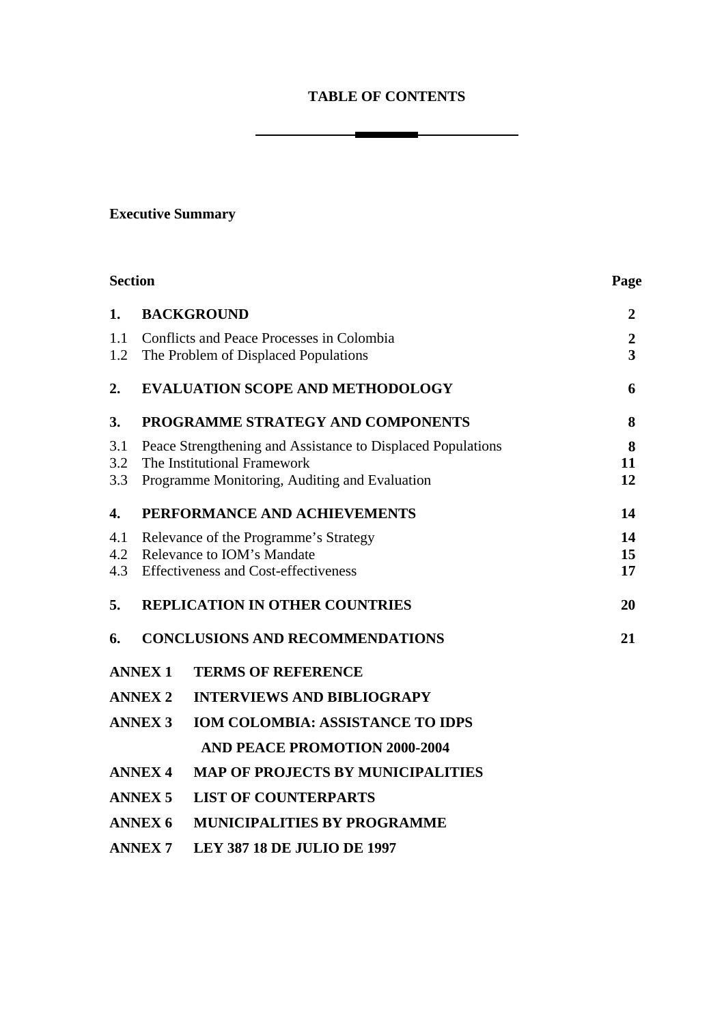# **TABLE OF CONTENTS**

<u>and the company of the company of the company of the company of the company of the company of the company of the company of the company of the company of the company of the company of the company of the company of the com</u>

# **Executive Summary**

|                   | <b>Section</b>                                                                                                                              |                                          |                                             |
|-------------------|---------------------------------------------------------------------------------------------------------------------------------------------|------------------------------------------|---------------------------------------------|
| 1.                | <b>BACKGROUND</b>                                                                                                                           |                                          | $\overline{2}$                              |
| 1.1<br>1.2        | Conflicts and Peace Processes in Colombia<br>The Problem of Displaced Populations                                                           |                                          | $\boldsymbol{2}$<br>$\overline{\mathbf{3}}$ |
| 2.                | <b>EVALUATION SCOPE AND METHODOLOGY</b>                                                                                                     |                                          | 6                                           |
| 3.                | PROGRAMME STRATEGY AND COMPONENTS                                                                                                           |                                          | 8                                           |
| 3.1<br>3.2<br>3.3 | Peace Strengthening and Assistance to Displaced Populations<br>The Institutional Framework<br>Programme Monitoring, Auditing and Evaluation |                                          | 8<br>11<br>12                               |
| 4.                | PERFORMANCE AND ACHIEVEMENTS                                                                                                                |                                          | 14                                          |
| 4.1<br>4.2<br>4.3 | Relevance of the Programme's Strategy<br>Relevance to IOM's Mandate<br><b>Effectiveness and Cost-effectiveness</b>                          |                                          | 14<br>15<br>17                              |
| 5.                |                                                                                                                                             | <b>REPLICATION IN OTHER COUNTRIES</b>    | 20                                          |
| 6.                |                                                                                                                                             | <b>CONCLUSIONS AND RECOMMENDATIONS</b>   | 21                                          |
|                   | <b>ANNEX1</b>                                                                                                                               | <b>TERMS OF REFERENCE</b>                |                                             |
|                   | <b>ANNEX 2</b>                                                                                                                              | <b>INTERVIEWS AND BIBLIOGRAPY</b>        |                                             |
|                   | <b>ANNEX 3</b>                                                                                                                              | <b>IOM COLOMBIA: ASSISTANCE TO IDPS</b>  |                                             |
|                   |                                                                                                                                             | <b>AND PEACE PROMOTION 2000-2004</b>     |                                             |
|                   | <b>ANNEX 4</b>                                                                                                                              | <b>MAP OF PROJECTS BY MUNICIPALITIES</b> |                                             |
|                   | <b>ANNEX 5</b>                                                                                                                              | <b>LIST OF COUNTERPARTS</b>              |                                             |
|                   | <b>ANNEX 6</b>                                                                                                                              | <b>MUNICIPALITIES BY PROGRAMME</b>       |                                             |
|                   | <b>ANNEX7</b>                                                                                                                               | <b>LEY 387 18 DE JULIO DE 1997</b>       |                                             |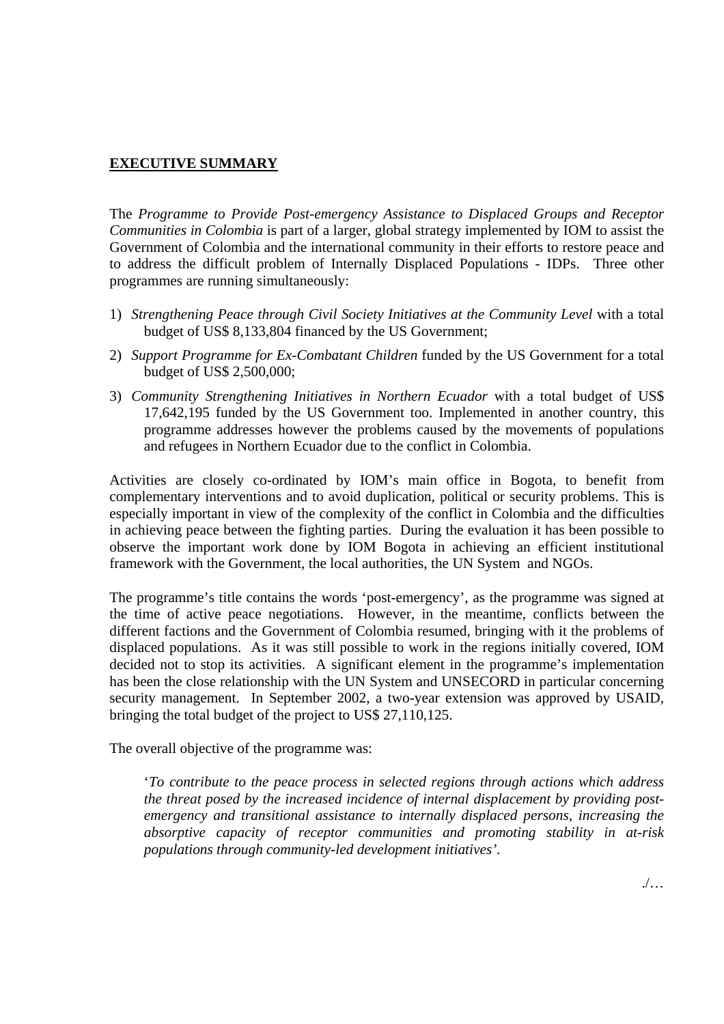# **EXECUTIVE SUMMARY**

The *Programme to Provide Post-emergency Assistance to Displaced Groups and Receptor Communities in Colombia* is part of a larger, global strategy implemented by IOM to assist the Government of Colombia and the international community in their efforts to restore peace and to address the difficult problem of Internally Displaced Populations - IDPs. Three other programmes are running simultaneously:

- 1) *Strengthening Peace through Civil Society Initiatives at the Community Level* with a total budget of US\$ 8,133,804 financed by the US Government;
- 2) *Support Programme for Ex-Combatant Children* funded by the US Government for a total budget of US\$ 2,500,000;
- 3) *Community Strengthening Initiatives in Northern Ecuador* with a total budget of US\$ 17,642,195 funded by the US Government too. Implemented in another country, this programme addresses however the problems caused by the movements of populations and refugees in Northern Ecuador due to the conflict in Colombia.

Activities are closely co-ordinated by IOM's main office in Bogota, to benefit from complementary interventions and to avoid duplication, political or security problems. This is especially important in view of the complexity of the conflict in Colombia and the difficulties in achieving peace between the fighting parties. During the evaluation it has been possible to observe the important work done by IOM Bogota in achieving an efficient institutional framework with the Government, the local authorities, the UN System and NGOs.

The programme's title contains the words 'post-emergency', as the programme was signed at the time of active peace negotiations. However, in the meantime, conflicts between the different factions and the Government of Colombia resumed, bringing with it the problems of displaced populations. As it was still possible to work in the regions initially covered, IOM decided not to stop its activities. A significant element in the programme's implementation has been the close relationship with the UN System and UNSECORD in particular concerning security management. In September 2002, a two-year extension was approved by USAID, bringing the total budget of the project to US\$ 27,110,125.

The overall objective of the programme was:

'*To contribute to the peace process in selected regions through actions which address the threat posed by the increased incidence of internal displacement by providing postemergency and transitional assistance to internally displaced persons, increasing the absorptive capacity of receptor communities and promoting stability in at-risk populations through community-led development initiatives'.*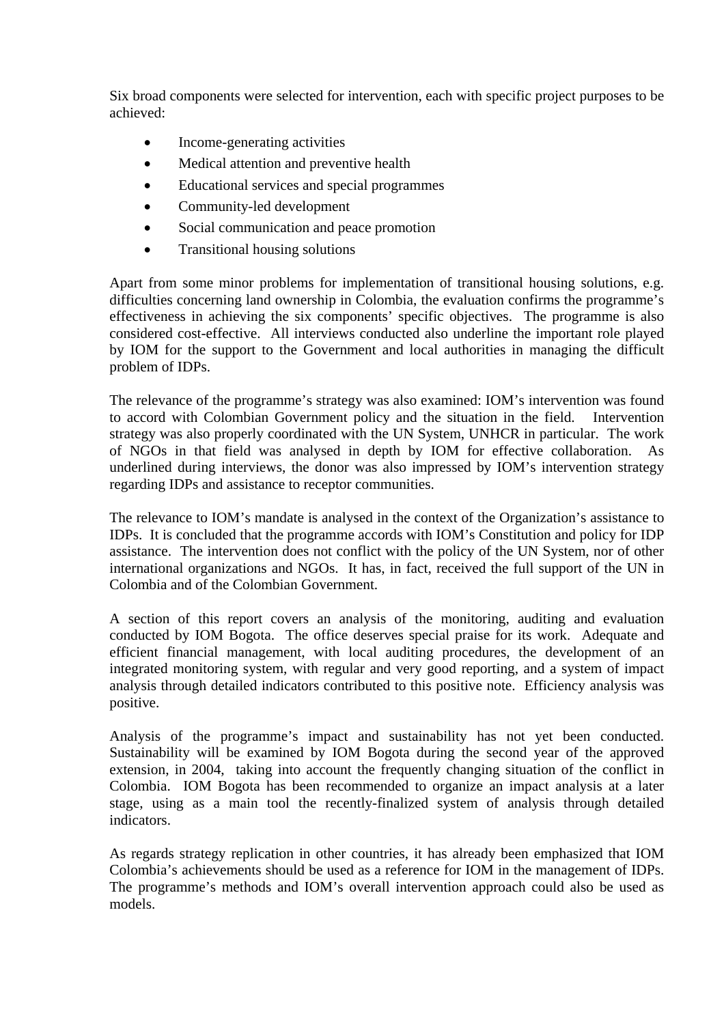Six broad components were selected for intervention, each with specific project purposes to be achieved:

- Income-generating activities
- Medical attention and preventive health
- Educational services and special programmes
- Community-led development
- Social communication and peace promotion
- Transitional housing solutions

Apart from some minor problems for implementation of transitional housing solutions, e.g. difficulties concerning land ownership in Colombia, the evaluation confirms the programme's effectiveness in achieving the six components' specific objectives. The programme is also considered cost-effective. All interviews conducted also underline the important role played by IOM for the support to the Government and local authorities in managing the difficult problem of IDPs.

The relevance of the programme's strategy was also examined: IOM's intervention was found to accord with Colombian Government policy and the situation in the field. Intervention strategy was also properly coordinated with the UN System, UNHCR in particular. The work of NGOs in that field was analysed in depth by IOM for effective collaboration. As underlined during interviews, the donor was also impressed by IOM's intervention strategy regarding IDPs and assistance to receptor communities.

The relevance to IOM's mandate is analysed in the context of the Organization's assistance to IDPs. It is concluded that the programme accords with IOM's Constitution and policy for IDP assistance. The intervention does not conflict with the policy of the UN System, nor of other international organizations and NGOs. It has, in fact, received the full support of the UN in Colombia and of the Colombian Government.

A section of this report covers an analysis of the monitoring, auditing and evaluation conducted by IOM Bogota. The office deserves special praise for its work. Adequate and efficient financial management, with local auditing procedures, the development of an integrated monitoring system, with regular and very good reporting, and a system of impact analysis through detailed indicators contributed to this positive note. Efficiency analysis was positive.

Analysis of the programme's impact and sustainability has not yet been conducted. Sustainability will be examined by IOM Bogota during the second year of the approved extension, in 2004, taking into account the frequently changing situation of the conflict in Colombia. IOM Bogota has been recommended to organize an impact analysis at a later stage, using as a main tool the recently-finalized system of analysis through detailed indicators.

As regards strategy replication in other countries, it has already been emphasized that IOM Colombia's achievements should be used as a reference for IOM in the management of IDPs. The programme's methods and IOM's overall intervention approach could also be used as models.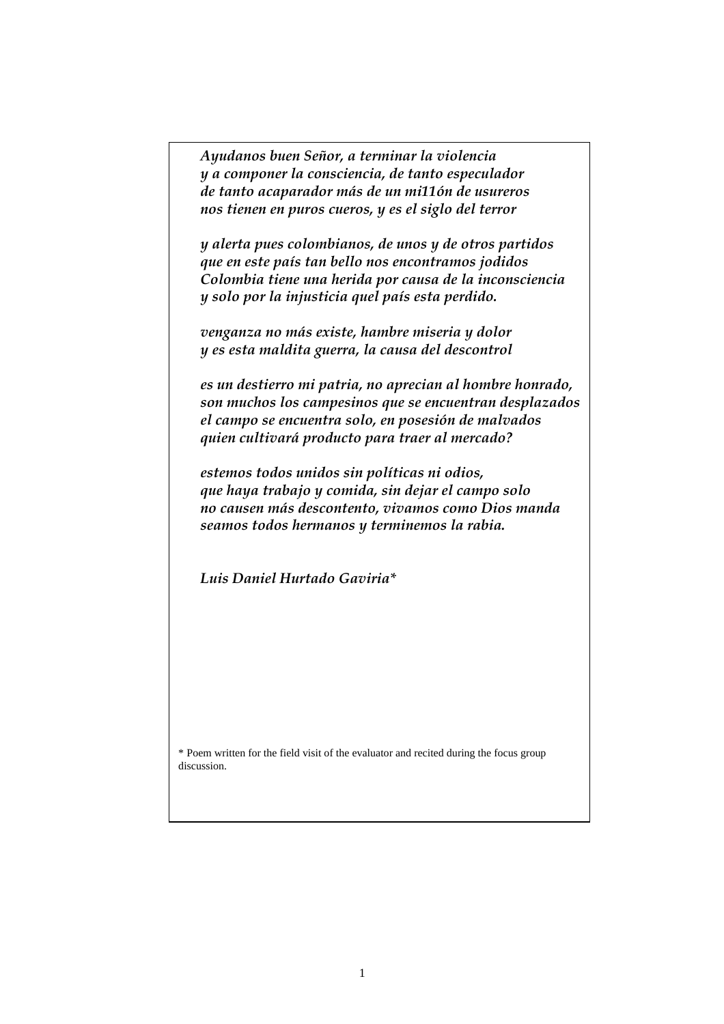*Ayudanos buen Señor, a terminar la violencia y a componer la consciencia, de tanto especulador de tanto acaparador más de un mi11ón de usureros nos tienen en puros cueros, y es el siglo del terror* 

*y alerta pues colombianos, de unos y de otros partidos que en este país tan bello nos encontramos jodidos Colombia tiene una herida por causa de la inconsciencia y solo por la injusticia quel país esta perdido.* 

*venganza no más existe, hambre miseria y dolor y es esta maldita guerra, la causa del descontrol* 

*es un destierro mi patria, no aprecian al hombre honrado, son muchos los campesinos que se encuentran desplazados el campo se encuentra solo, en posesión de malvados quien cultivará producto para traer al mercado?* 

*estemos todos unidos sin políticas ni odios, que haya trabajo y comida, sin dejar el campo solo no causen más descontento, vivamos como Dios manda seamos todos hermanos y terminemos la rabia.* 

*Luis Daniel Hurtado Gaviria\** 

\* Poem written for the field visit of the evaluator and recited during the focus group discussion.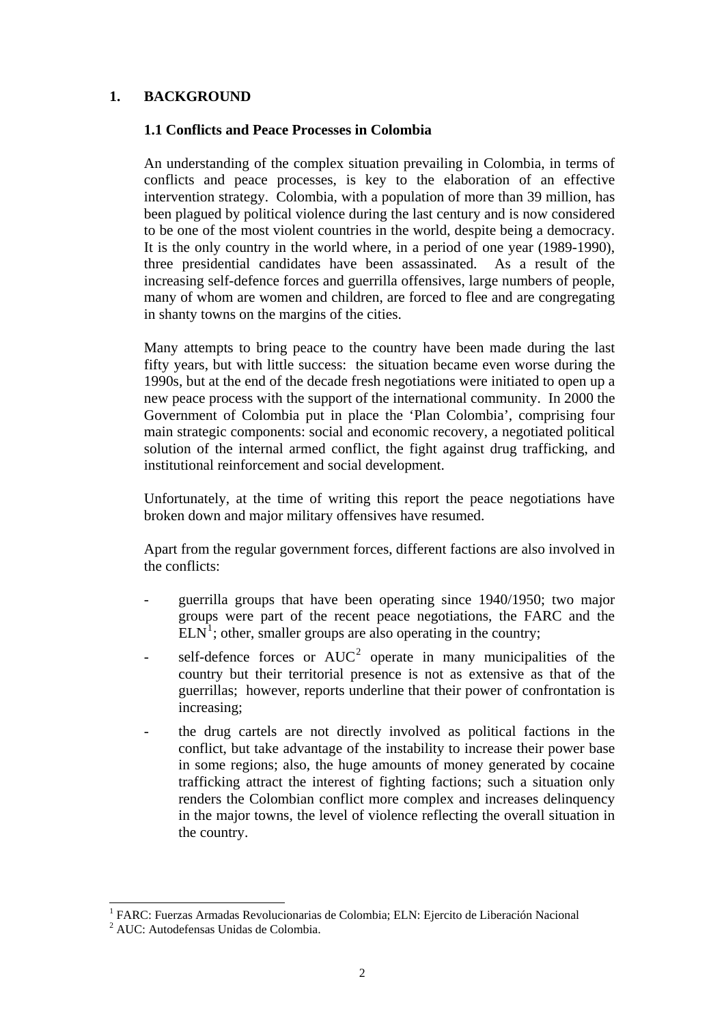# **1. BACKGROUND**

### **1.1 Conflicts and Peace Processes in Colombia**

An understanding of the complex situation prevailing in Colombia, in terms of conflicts and peace processes, is key to the elaboration of an effective intervention strategy. Colombia, with a population of more than 39 million, has been plagued by political violence during the last century and is now considered to be one of the most violent countries in the world, despite being a democracy. It is the only country in the world where, in a period of one year (1989-1990), three presidential candidates have been assassinated. As a result of the increasing self-defence forces and guerrilla offensives, large numbers of people, many of whom are women and children, are forced to flee and are congregating in shanty towns on the margins of the cities.

Many attempts to bring peace to the country have been made during the last fifty years, but with little success: the situation became even worse during the 1990s, but at the end of the decade fresh negotiations were initiated to open up a new peace process with the support of the international community. In 2000 the Government of Colombia put in place the 'Plan Colombia', comprising four main strategic components: social and economic recovery, a negotiated political solution of the internal armed conflict, the fight against drug trafficking, and institutional reinforcement and social development.

Unfortunately, at the time of writing this report the peace negotiations have broken down and major military offensives have resumed.

Apart from the regular government forces, different factions are also involved in the conflicts:

- guerrilla groups that have been operating since 1940/1950; two major groups were part of the recent peace negotiations, the FARC and the  $ELN<sup>1</sup>$  $ELN<sup>1</sup>$  $ELN<sup>1</sup>$ ; other, smaller groups are also operating in the country;
- self-defence forces or  $AUC^2$  $AUC^2$  operate in many municipalities of the country but their territorial presence is not as extensive as that of the guerrillas; however, reports underline that their power of confrontation is increasing;
- the drug cartels are not directly involved as political factions in the conflict, but take advantage of the instability to increase their power base in some regions; also, the huge amounts of money generated by cocaine trafficking attract the interest of fighting factions; such a situation only renders the Colombian conflict more complex and increases delinquency in the major towns, the level of violence reflecting the overall situation in the country.

 $\overline{\phantom{a}}$ <sup>1</sup> FARC: Fuerzas Armadas Revolucionarias de Colombia; ELN: Ejercito de Liberación Nacional

<span id="page-5-1"></span><span id="page-5-0"></span><sup>2</sup> AUC: Autodefensas Unidas de Colombia.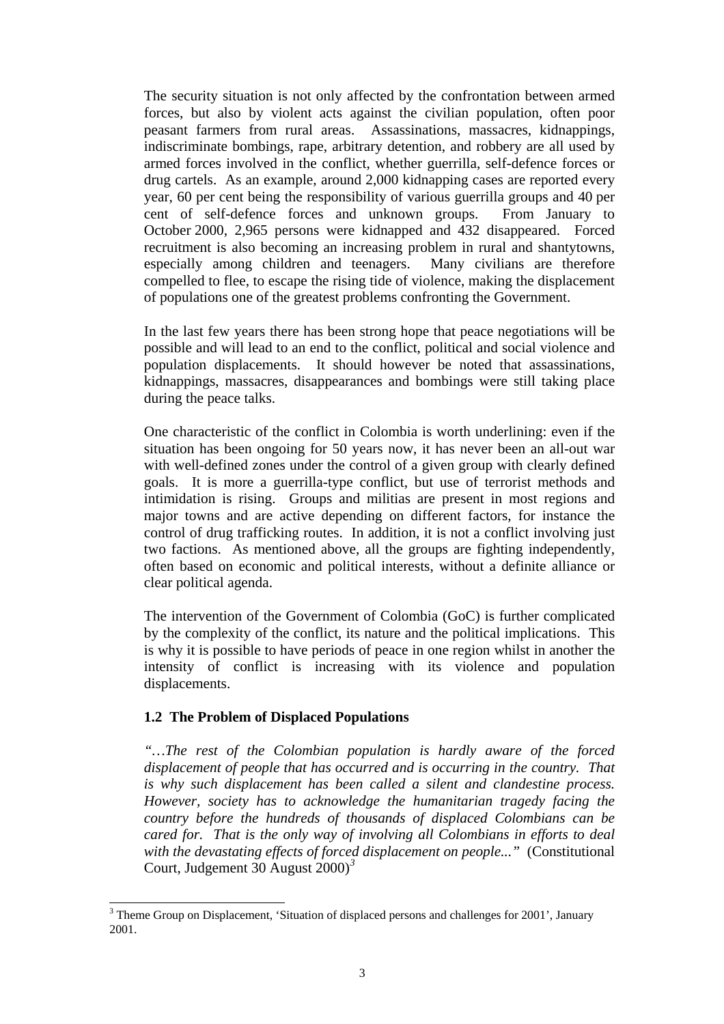The security situation is not only affected by the confrontation between armed forces, but also by violent acts against the civilian population, often poor peasant farmers from rural areas. Assassinations, massacres, kidnappings, indiscriminate bombings, rape, arbitrary detention, and robbery are all used by armed forces involved in the conflict, whether guerrilla, self-defence forces or drug cartels. As an example, around 2,000 kidnapping cases are reported every year, 60 per cent being the responsibility of various guerrilla groups and 40 per cent of self-defence forces and unknown groups. From January to October 2000, 2,965 persons were kidnapped and 432 disappeared. Forced recruitment is also becoming an increasing problem in rural and shantytowns, especially among children and teenagers. Many civilians are therefore compelled to flee, to escape the rising tide of violence, making the displacement of populations one of the greatest problems confronting the Government.

In the last few years there has been strong hope that peace negotiations will be possible and will lead to an end to the conflict, political and social violence and population displacements. It should however be noted that assassinations, kidnappings, massacres, disappearances and bombings were still taking place during the peace talks.

One characteristic of the conflict in Colombia is worth underlining: even if the situation has been ongoing for 50 years now, it has never been an all-out war with well-defined zones under the control of a given group with clearly defined goals. It is more a guerrilla-type conflict, but use of terrorist methods and intimidation is rising. Groups and militias are present in most regions and major towns and are active depending on different factors, for instance the control of drug trafficking routes. In addition, it is not a conflict involving just two factions. As mentioned above, all the groups are fighting independently, often based on economic and political interests, without a definite alliance or clear political agenda.

The intervention of the Government of Colombia (GoC) is further complicated by the complexity of the conflict, its nature and the political implications. This is why it is possible to have periods of peace in one region whilst in another the intensity of conflict is increasing with its violence and population displacements.

### **1.2 The Problem of Displaced Populations**

*"…The rest of the Colombian population is hardly aware of the forced displacement of people that has occurred and is occurring in the country. That is why such displacement has been called a silent and clandestine process. However, society has to acknowledge the humanitarian tragedy facing the country before the hundreds of thousands of displaced Colombians can be cared for. That is the only way of involving all Colombians in efforts to deal with the devastating effects of forced displacement on people..."* (Constitutional Court, Judgement 30 August 2000)*[3](#page-6-0)*

<span id="page-6-0"></span><sup>&</sup>lt;sup>3</sup> Theme Group on Displacement, 'Situation of displaced persons and challenges for 2001', January 2001.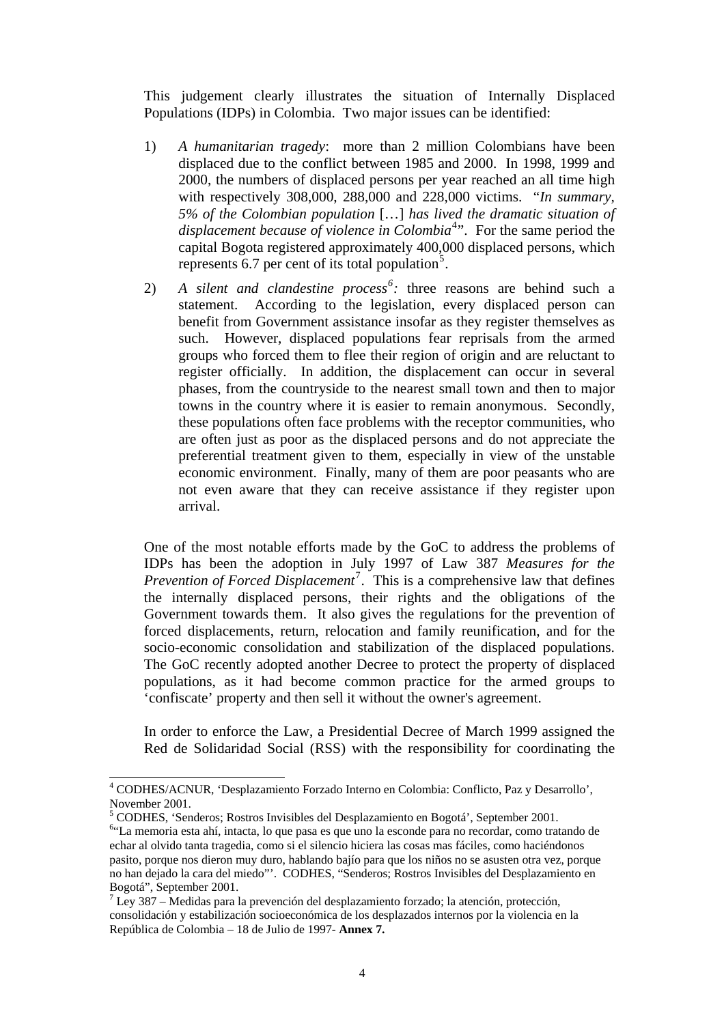This judgement clearly illustrates the situation of Internally Displaced Populations (IDPs) in Colombia. Two major issues can be identified:

- 1) *A humanitarian tragedy*: more than 2 million Colombians have been displaced due to the conflict between 1985 and 2000. In 1998, 1999 and 2000, the numbers of displaced persons per year reached an all time high with respectively 308,000, 288,000 and 228,000 victims. "*In summary, 5% of the Colombian population* […] *has lived the dramatic situation of*  displacement because of violence in Colombia<sup>[4](#page-7-0)</sup>". For the same period the capital Bogota registered approximately 400,000 displaced persons, which represents  $6.7$  per cent of its total population<sup>[5](#page-7-1)</sup>.
- 2) *A silent and clandestine process[6](#page-7-2) :* three reasons are behind such a statement. According to the legislation, every displaced person can benefit from Government assistance insofar as they register themselves as such. However, displaced populations fear reprisals from the armed groups who forced them to flee their region of origin and are reluctant to register officially. In addition, the displacement can occur in several phases, from the countryside to the nearest small town and then to major towns in the country where it is easier to remain anonymous. Secondly, these populations often face problems with the receptor communities, who are often just as poor as the displaced persons and do not appreciate the preferential treatment given to them, especially in view of the unstable economic environment. Finally, many of them are poor peasants who are not even aware that they can receive assistance if they register upon arrival.

One of the most notable efforts made by the GoC to address the problems of IDPs has been the adoption in July 1997 of Law 387 *Measures for the Prevention of Forced Displacement*<sup>[7](#page-7-3)</sup>. This is a comprehensive law that defines the internally displaced persons, their rights and the obligations of the Government towards them. It also gives the regulations for the prevention of forced displacements, return, relocation and family reunification, and for the socio-economic consolidation and stabilization of the displaced populations. The GoC recently adopted another Decree to protect the property of displaced populations, as it had become common practice for the armed groups to 'confiscate' property and then sell it without the owner's agreement.

In order to enforce the Law, a Presidential Decree of March 1999 assigned the Red de Solidaridad Social (RSS) with the responsibility for coordinating the

 $\overline{\phantom{a}}$ 

<span id="page-7-0"></span><sup>4</sup> CODHES/ACNUR, 'Desplazamiento Forzado Interno en Colombia: Conflicto, Paz y Desarrollo', November 2001.

<sup>&</sup>lt;sup>5</sup> CODHES, 'Senderos; Rostros Invisibles del Desplazamiento en Bogotá', September 2001.

<span id="page-7-2"></span><span id="page-7-1"></span><sup>&</sup>quot;La memoria esta ahí, intacta, lo que pasa es que uno la esconde para no recordar, como tratando de echar al olvido tanta tragedia, como si el silencio hiciera las cosas mas fáciles, como haciéndonos pasito, porque nos dieron muy duro, hablando bajío para que los niños no se asusten otra vez, porque no han dejado la cara del miedo"'. CODHES, "Senderos; Rostros Invisibles del Desplazamiento en Bogotá", September 2001.

<span id="page-7-3"></span> $^7$  Ley 387 – Medidas para la prevención del desplazamiento forzado; la atención, protección, consolidación y estabilización socioeconómica de los desplazados internos por la violencia en la República de Colombia – 18 de Julio de 1997- **Annex 7.**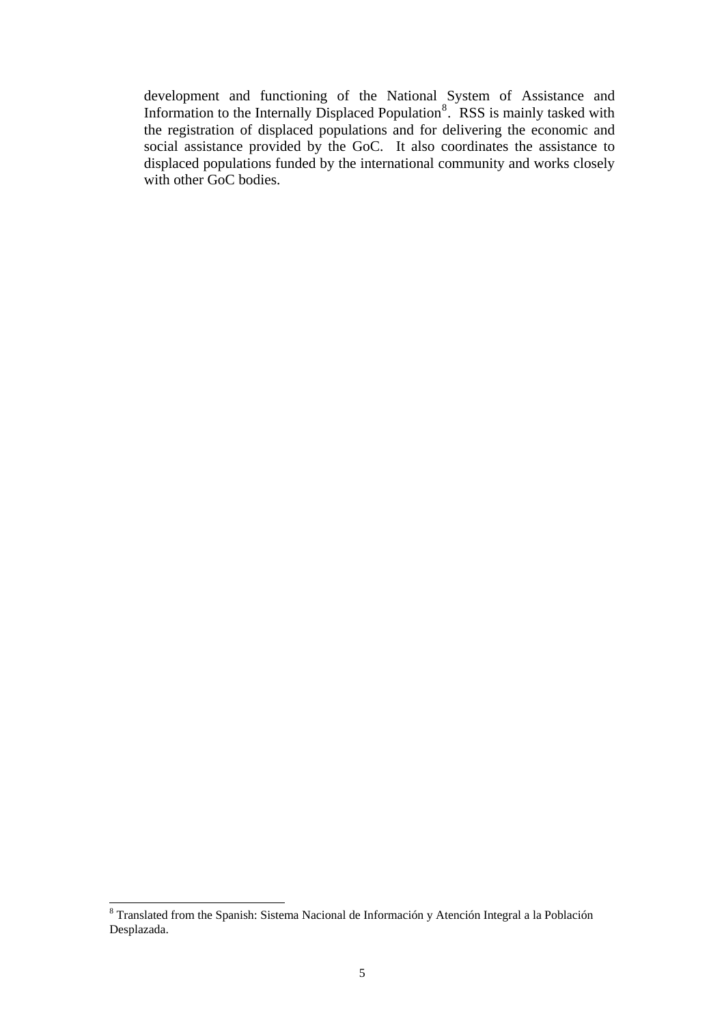development and functioning of the National System of Assistance and Information to the Internally Displaced Population<sup>[8](#page-8-0)</sup>. RSS is mainly tasked with the registration of displaced populations and for delivering the economic and social assistance provided by the GoC. It also coordinates the assistance to displaced populations funded by the international community and works closely with other GoC bodies.

<span id="page-8-0"></span><sup>&</sup>lt;sup>8</sup> Translated from the Spanish: Sistema Nacional de Información y Atención Integral a la Población Desplazada.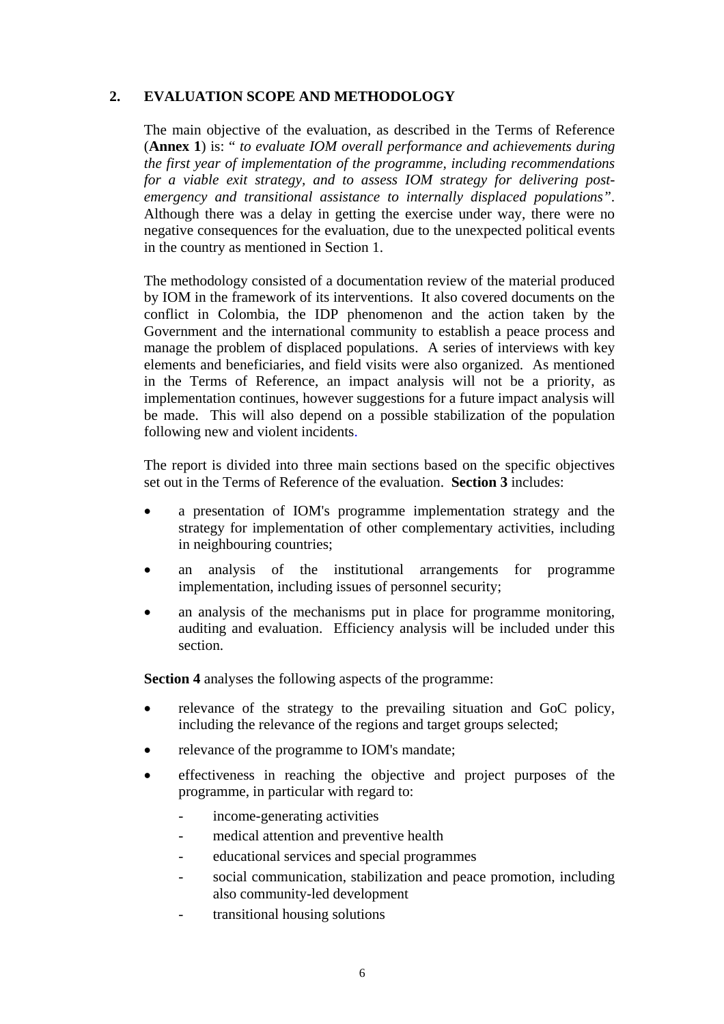# **2. EVALUATION SCOPE AND METHODOLOGY**

The main objective of the evaluation, as described in the Terms of Reference (**Annex 1**) is: " *to evaluate IOM overall performance and achievements during the first year of implementation of the programme, including recommendations for a viable exit strategy, and to assess IOM strategy for delivering postemergency and transitional assistance to internally displaced populations"*. Although there was a delay in getting the exercise under way, there were no negative consequences for the evaluation, due to the unexpected political events in the country as mentioned in Section 1.

The methodology consisted of a documentation review of the material produced by IOM in the framework of its interventions. It also covered documents on the conflict in Colombia, the IDP phenomenon and the action taken by the Government and the international community to establish a peace process and manage the problem of displaced populations. A series of interviews with key elements and beneficiaries, and field visits were also organized. As mentioned in the Terms of Reference, an impact analysis will not be a priority, as implementation continues, however suggestions for a future impact analysis will be made. This will also depend on a possible stabilization of the population following new and violent incidents.

The report is divided into three main sections based on the specific objectives set out in the Terms of Reference of the evaluation. **Section 3** includes:

- a presentation of IOM's programme implementation strategy and the strategy for implementation of other complementary activities, including in neighbouring countries;
- an analysis of the institutional arrangements for programme implementation, including issues of personnel security;
- an analysis of the mechanisms put in place for programme monitoring, auditing and evaluation. Efficiency analysis will be included under this section.

**Section 4** analyses the following aspects of the programme:

- relevance of the strategy to the prevailing situation and GoC policy, including the relevance of the regions and target groups selected;
- relevance of the programme to IOM's mandate;
- effectiveness in reaching the objective and project purposes of the programme, in particular with regard to:
	- income-generating activities
	- medical attention and preventive health
	- educational services and special programmes
	- social communication, stabilization and peace promotion, including also community-led development
	- transitional housing solutions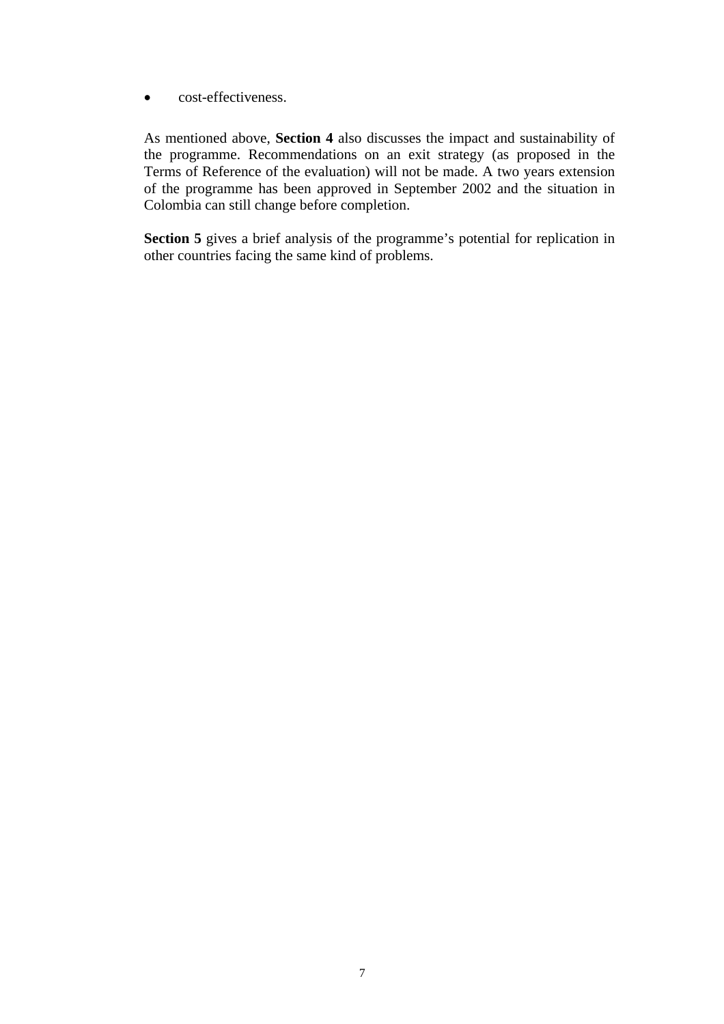• cost-effectiveness.

As mentioned above, **Section 4** also discusses the impact and sustainability of the programme. Recommendations on an exit strategy (as proposed in the Terms of Reference of the evaluation) will not be made. A two years extension of the programme has been approved in September 2002 and the situation in Colombia can still change before completion.

**Section 5** gives a brief analysis of the programme's potential for replication in other countries facing the same kind of problems.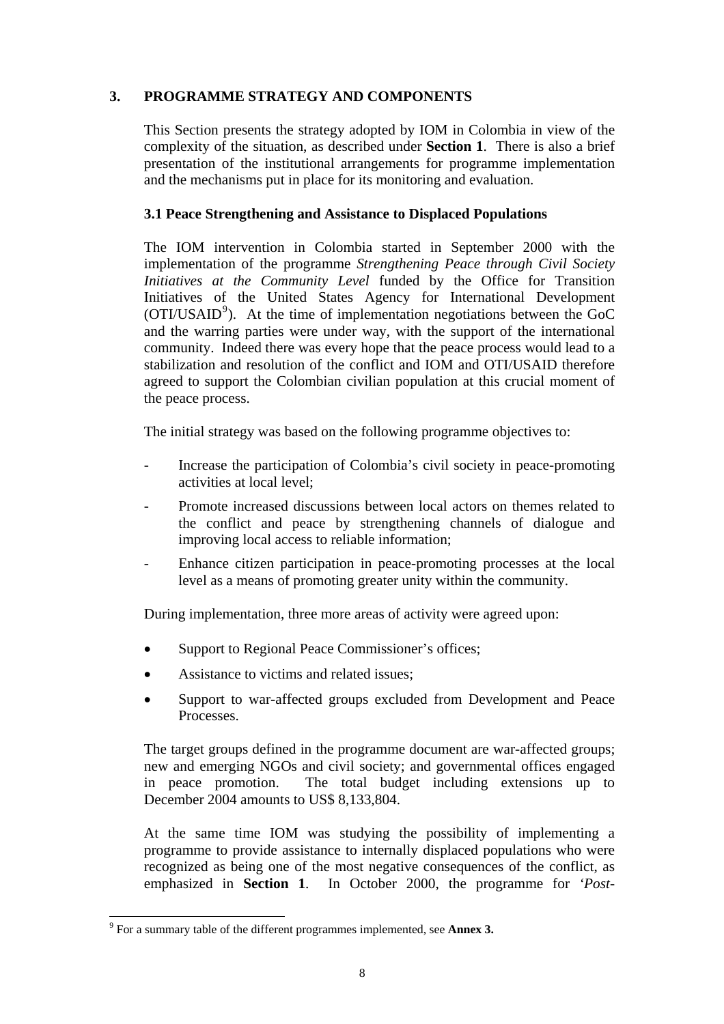# **3. PROGRAMME STRATEGY AND COMPONENTS**

This Section presents the strategy adopted by IOM in Colombia in view of the complexity of the situation, as described under **Section 1**. There is also a brief presentation of the institutional arrangements for programme implementation and the mechanisms put in place for its monitoring and evaluation.

### **3.1 Peace Strengthening and Assistance to Displaced Populations**

The IOM intervention in Colombia started in September 2000 with the implementation of the programme *Strengthening Peace through Civil Society Initiatives at the Community Level* funded by the Office for Transition Initiatives of the United States Agency for International Development (OTI/USAID<sup>[9](#page-11-0)</sup>). At the time of implementation negotiations between the GoC and the warring parties were under way, with the support of the international community. Indeed there was every hope that the peace process would lead to a stabilization and resolution of the conflict and IOM and OTI/USAID therefore agreed to support the Colombian civilian population at this crucial moment of the peace process.

The initial strategy was based on the following programme objectives to:

- Increase the participation of Colombia's civil society in peace-promoting activities at local level;
- Promote increased discussions between local actors on themes related to the conflict and peace by strengthening channels of dialogue and improving local access to reliable information;
- Enhance citizen participation in peace-promoting processes at the local level as a means of promoting greater unity within the community.

During implementation, three more areas of activity were agreed upon:

- Support to Regional Peace Commissioner's offices;
- Assistance to victims and related issues;
- Support to war-affected groups excluded from Development and Peace Processes.

The target groups defined in the programme document are war-affected groups; new and emerging NGOs and civil society; and governmental offices engaged in peace promotion. The total budget including extensions up to December 2004 amounts to US\$ 8,133,804.

At the same time IOM was studying the possibility of implementing a programme to provide assistance to internally displaced populations who were recognized as being one of the most negative consequences of the conflict, as emphasized in **Section 1**. In October 2000, the programme for *'Post-*

l

<span id="page-11-0"></span><sup>9</sup> For a summary table of the different programmes implemented, see **Annex 3.**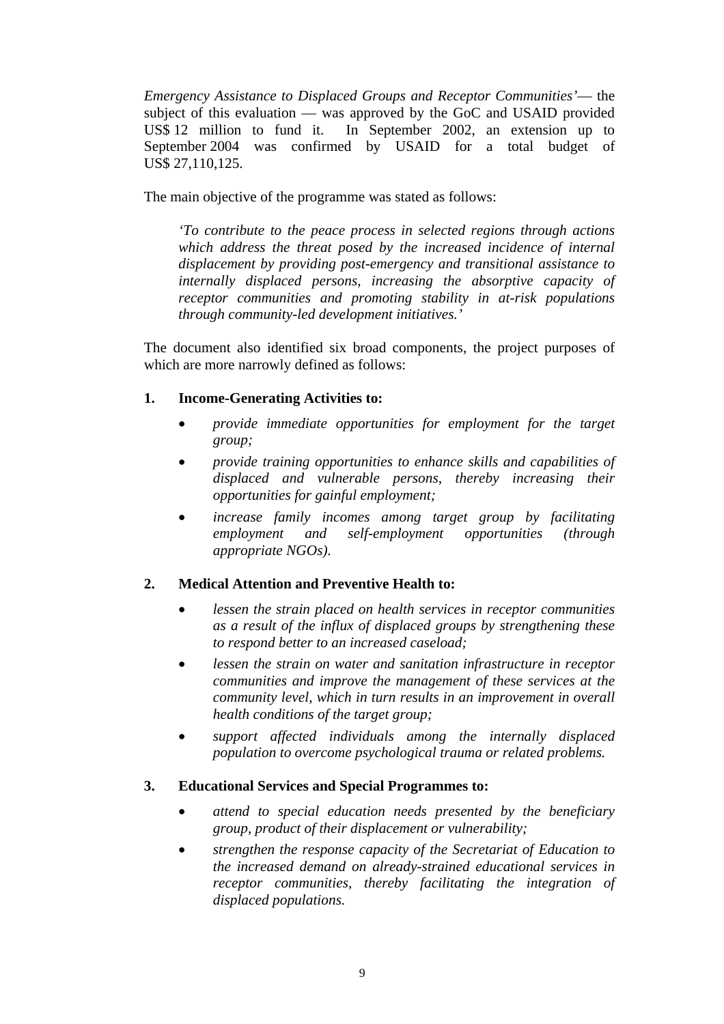*Emergency Assistance to Displaced Groups and Receptor Communities'*— the subject of this evaluation — was approved by the GoC and USAID provided US\$ 12 million to fund it. In September 2002, an extension up to September 2004 was confirmed by USAID for a total budget of US\$ 27,110,125.

The main objective of the programme was stated as follows:

*'To contribute to the peace process in selected regions through actions which address the threat posed by the increased incidence of internal displacement by providing post-emergency and transitional assistance to internally displaced persons, increasing the absorptive capacity of receptor communities and promoting stability in at-risk populations through community-led development initiatives.'* 

The document also identified six broad components, the project purposes of which are more narrowly defined as follows:

### **1. Income-Generating Activities to:**

- *provide immediate opportunities for employment for the target group;*
- *provide training opportunities to enhance skills and capabilities of displaced and vulnerable persons, thereby increasing their opportunities for gainful employment;*
- *increase family incomes among target group by facilitating employment and self-employment opportunities (through appropriate NGOs).*

# **2. Medical Attention and Preventive Health to:**

- *lessen the strain placed on health services in receptor communities as a result of the influx of displaced groups by strengthening these to respond better to an increased caseload;*
- *lessen the strain on water and sanitation infrastructure in receptor communities and improve the management of these services at the community level, which in turn results in an improvement in overall health conditions of the target group;*
- *support affected individuals among the internally displaced population to overcome psychological trauma or related problems.*

### **3. Educational Services and Special Programmes to:**

- *attend to special education needs presented by the beneficiary group, product of their displacement or vulnerability;*
- *strengthen the response capacity of the Secretariat of Education to the increased demand on already-strained educational services in receptor communities, thereby facilitating the integration of displaced populations.*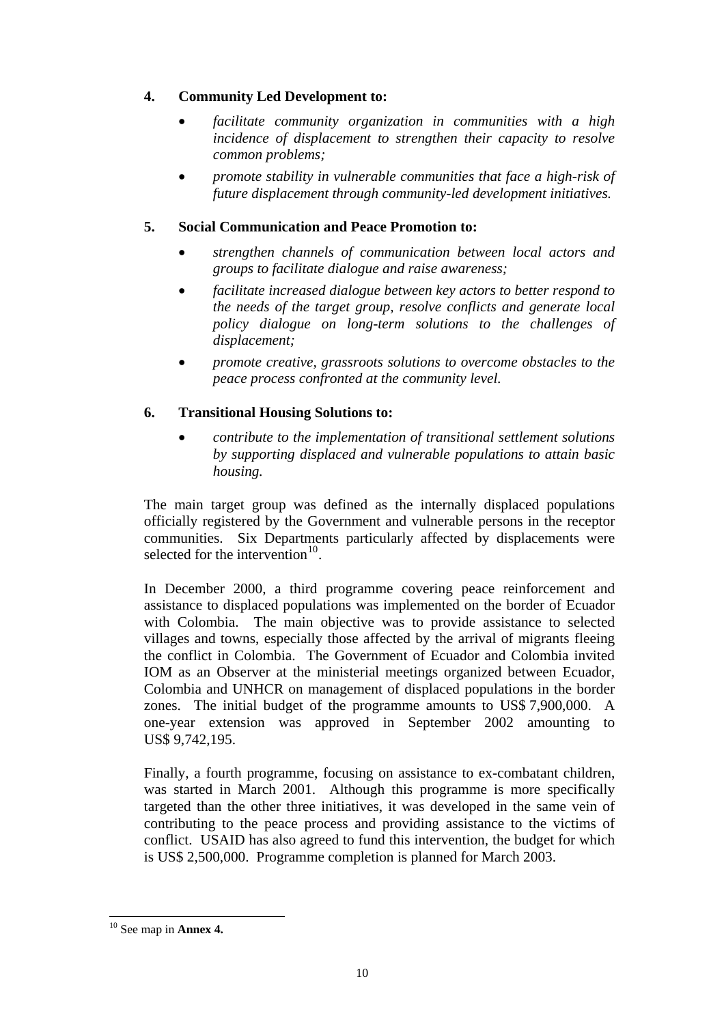# **4. Community Led Development to:**

- *facilitate community organization in communities with a high incidence of displacement to strengthen their capacity to resolve common problems;*
- *promote stability in vulnerable communities that face a high-risk of future displacement through community-led development initiatives.*

# **5. Social Communication and Peace Promotion to:**

- *strengthen channels of communication between local actors and groups to facilitate dialogue and raise awareness;*
- *facilitate increased dialogue between key actors to better respond to the needs of the target group, resolve conflicts and generate local policy dialogue on long-term solutions to the challenges of displacement;*
- *promote creative, grassroots solutions to overcome obstacles to the peace process confronted at the community level.*

# **6. Transitional Housing Solutions to:**

• *contribute to the implementation of transitional settlement solutions by supporting displaced and vulnerable populations to attain basic housing.* 

The main target group was defined as the internally displaced populations officially registered by the Government and vulnerable persons in the receptor communities. Six Departments particularly affected by displacements were selected for the intervention $10^{-10}$  $10^{-10}$ .

In December 2000, a third programme covering peace reinforcement and assistance to displaced populations was implemented on the border of Ecuador with Colombia. The main objective was to provide assistance to selected villages and towns, especially those affected by the arrival of migrants fleeing the conflict in Colombia. The Government of Ecuador and Colombia invited IOM as an Observer at the ministerial meetings organized between Ecuador, Colombia and UNHCR on management of displaced populations in the border zones. The initial budget of the programme amounts to US\$ 7,900,000. A one-year extension was approved in September 2002 amounting to US\$ 9,742,195.

Finally, a fourth programme, focusing on assistance to ex-combatant children, was started in March 2001. Although this programme is more specifically targeted than the other three initiatives, it was developed in the same vein of contributing to the peace process and providing assistance to the victims of conflict. USAID has also agreed to fund this intervention, the budget for which is US\$ 2,500,000. Programme completion is planned for March 2003.

l

<span id="page-13-0"></span><sup>10</sup> See map in **Annex 4.**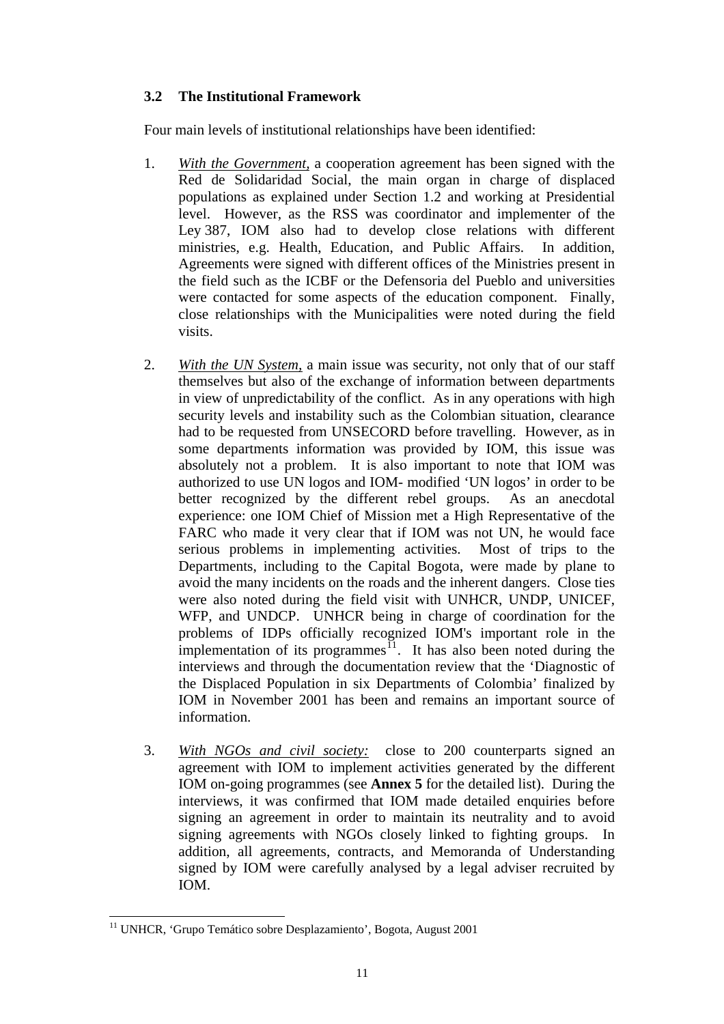# **3.2 The Institutional Framework**

Four main levels of institutional relationships have been identified:

- 1. *With the Government,* a cooperation agreement has been signed with the Red de Solidaridad Social, the main organ in charge of displaced populations as explained under Section 1.2 and working at Presidential level. However, as the RSS was coordinator and implementer of the Ley 387, IOM also had to develop close relations with different ministries, e.g. Health, Education, and Public Affairs. In addition, Agreements were signed with different offices of the Ministries present in the field such as the ICBF or the Defensoria del Pueblo and universities were contacted for some aspects of the education component. Finally, close relationships with the Municipalities were noted during the field visits.
- 2. *With the UN System,* a main issue was security, not only that of our staff themselves but also of the exchange of information between departments in view of unpredictability of the conflict. As in any operations with high security levels and instability such as the Colombian situation, clearance had to be requested from UNSECORD before travelling. However, as in some departments information was provided by IOM, this issue was absolutely not a problem. It is also important to note that IOM was authorized to use UN logos and IOM- modified 'UN logos' in order to be better recognized by the different rebel groups. As an anecdotal experience: one IOM Chief of Mission met a High Representative of the FARC who made it very clear that if IOM was not UN, he would face serious problems in implementing activities. Most of trips to the Departments, including to the Capital Bogota, were made by plane to avoid the many incidents on the roads and the inherent dangers. Close ties were also noted during the field visit with UNHCR, UNDP, UNICEF, WFP, and UNDCP. UNHCR being in charge of coordination for the problems of IDPs officially recognized IOM's important role in the implementation of its programmes $\frac{1}{1}$ . It has also been noted during the interviews and through the documentation review that the 'Diagnostic of the Displaced Population in six Departments of Colombia' finalized by IOM in November 2001 has been and remains an important source of information.
- 3. *With NGOs and civil society:* close to 200 counterparts signed an agreement with IOM to implement activities generated by the different IOM on-going programmes (see **Annex 5** for the detailed list). During the interviews, it was confirmed that IOM made detailed enquiries before signing an agreement in order to maintain its neutrality and to avoid signing agreements with NGOs closely linked to fighting groups. In addition, all agreements, contracts, and Memoranda of Understanding signed by IOM were carefully analysed by a legal adviser recruited by IOM.

l

<span id="page-14-0"></span><sup>&</sup>lt;sup>11</sup> UNHCR, 'Grupo Temático sobre Desplazamiento', Bogota, August 2001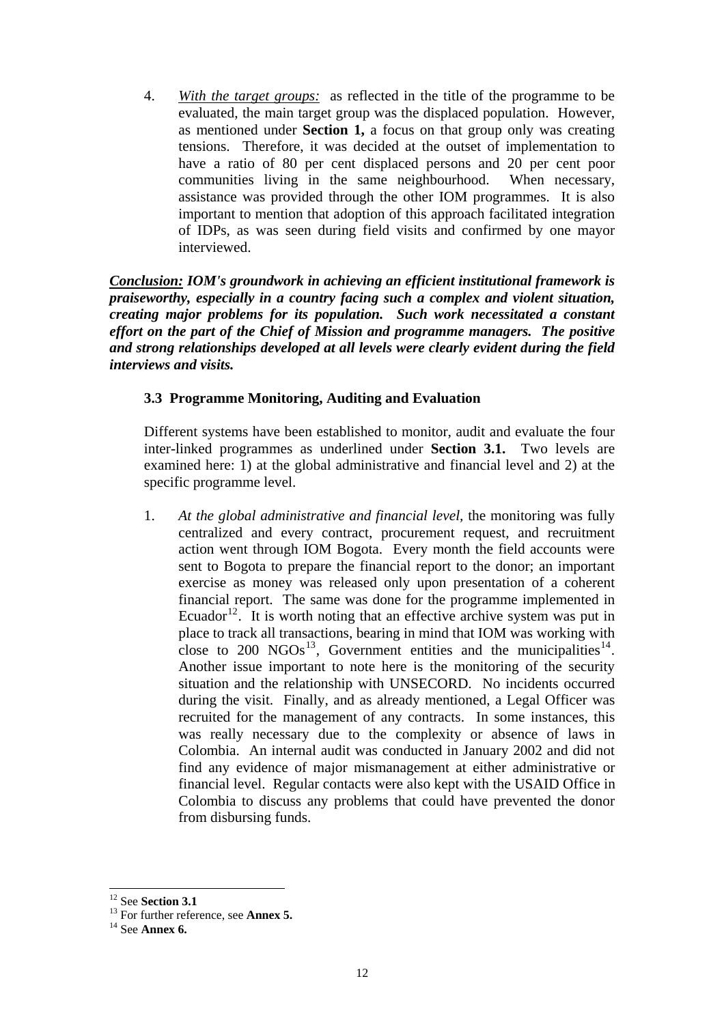4. *With the target groups:* as reflected in the title of the programme to be evaluated, the main target group was the displaced population. However, as mentioned under **Section 1,** a focus on that group only was creating tensions. Therefore, it was decided at the outset of implementation to have a ratio of 80 per cent displaced persons and 20 per cent poor communities living in the same neighbourhood. When necessary, assistance was provided through the other IOM programmes. It is also important to mention that adoption of this approach facilitated integration of IDPs, as was seen during field visits and confirmed by one mayor interviewed.

*Conclusion: IOM's groundwork in achieving an efficient institutional framework is praiseworthy, especially in a country facing such a complex and violent situation, creating major problems for its population. Such work necessitated a constant effort on the part of the Chief of Mission and programme managers. The positive and strong relationships developed at all levels were clearly evident during the field interviews and visits.* 

### **3.3 Programme Monitoring, Auditing and Evaluation**

Different systems have been established to monitor, audit and evaluate the four inter-linked programmes as underlined under **Section 3.1.** Two levels are examined here: 1) at the global administrative and financial level and 2) at the specific programme level.

1. *At the global administrative and financial level,* the monitoring was fully centralized and every contract, procurement request, and recruitment action went through IOM Bogota. Every month the field accounts were sent to Bogota to prepare the financial report to the donor; an important exercise as money was released only upon presentation of a coherent financial report. The same was done for the programme implemented in Ecuador<sup>[12](#page-15-0)</sup>. It is worth noting that an effective archive system was put in place to track all transactions, bearing in mind that IOM was working with close to 200  $NGOs<sup>13</sup>$  $NGOs<sup>13</sup>$  $NGOs<sup>13</sup>$ , Government entities and the municipalities<sup>[14](#page-15-2)</sup>. Another issue important to note here is the monitoring of the security situation and the relationship with UNSECORD. No incidents occurred during the visit. Finally, and as already mentioned, a Legal Officer was recruited for the management of any contracts. In some instances, this was really necessary due to the complexity or absence of laws in Colombia. An internal audit was conducted in January 2002 and did not find any evidence of major mismanagement at either administrative or financial level. Regular contacts were also kept with the USAID Office in Colombia to discuss any problems that could have prevented the donor from disbursing funds.

<span id="page-15-0"></span> $12$  See Section 3.1

<span id="page-15-2"></span><span id="page-15-1"></span><sup>&</sup>lt;sup>13</sup> For further reference, see **Annex 5.** <sup>14</sup> See **Annex 6.**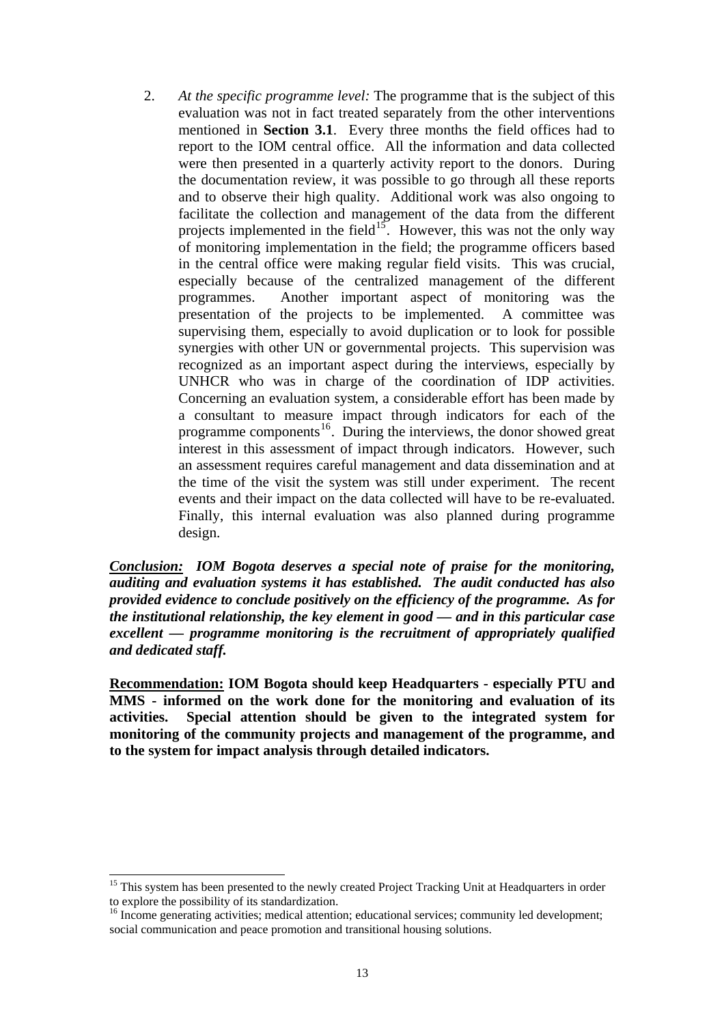2. *At the specific programme level:* The programme that is the subject of this evaluation was not in fact treated separately from the other interventions mentioned in **Section 3.1**. Every three months the field offices had to report to the IOM central office. All the information and data collected were then presented in a quarterly activity report to the donors. During the documentation review, it was possible to go through all these reports and to observe their high quality. Additional work was also ongoing to facilitate the collection and management of the data from the different projects implemented in the field<sup>[15](#page-16-0)</sup>. However, this was not the only way of monitoring implementation in the field; the programme officers based in the central office were making regular field visits. This was crucial, especially because of the centralized management of the different programmes. Another important aspect of monitoring was the presentation of the projects to be implemented. A committee was supervising them, especially to avoid duplication or to look for possible synergies with other UN or governmental projects. This supervision was recognized as an important aspect during the interviews, especially by UNHCR who was in charge of the coordination of IDP activities. Concerning an evaluation system, a considerable effort has been made by a consultant to measure impact through indicators for each of the programme components<sup>[16](#page-16-1)</sup>. During the interviews, the donor showed great interest in this assessment of impact through indicators. However, such an assessment requires careful management and data dissemination and at the time of the visit the system was still under experiment. The recent events and their impact on the data collected will have to be re-evaluated. Finally, this internal evaluation was also planned during programme design.

*Conclusion: IOM Bogota deserves a special note of praise for the monitoring, auditing and evaluation systems it has established. The audit conducted has also provided evidence to conclude positively on the efficiency of the programme. As for the institutional relationship, the key element in good — and in this particular case excellent — programme monitoring is the recruitment of appropriately qualified and dedicated staff.* 

**Recommendation: IOM Bogota should keep Headquarters - especially PTU and MMS - informed on the work done for the monitoring and evaluation of its activities. Special attention should be given to the integrated system for monitoring of the community projects and management of the programme, and to the system for impact analysis through detailed indicators.** 

 $\overline{a}$ 

<span id="page-16-0"></span><sup>&</sup>lt;sup>15</sup> This system has been presented to the newly created Project Tracking Unit at Headquarters in order to explore the possibility of its standardization.

<span id="page-16-1"></span><sup>&</sup>lt;sup>16</sup> Income generating activities; medical attention; educational services; community led development; social communication and peace promotion and transitional housing solutions.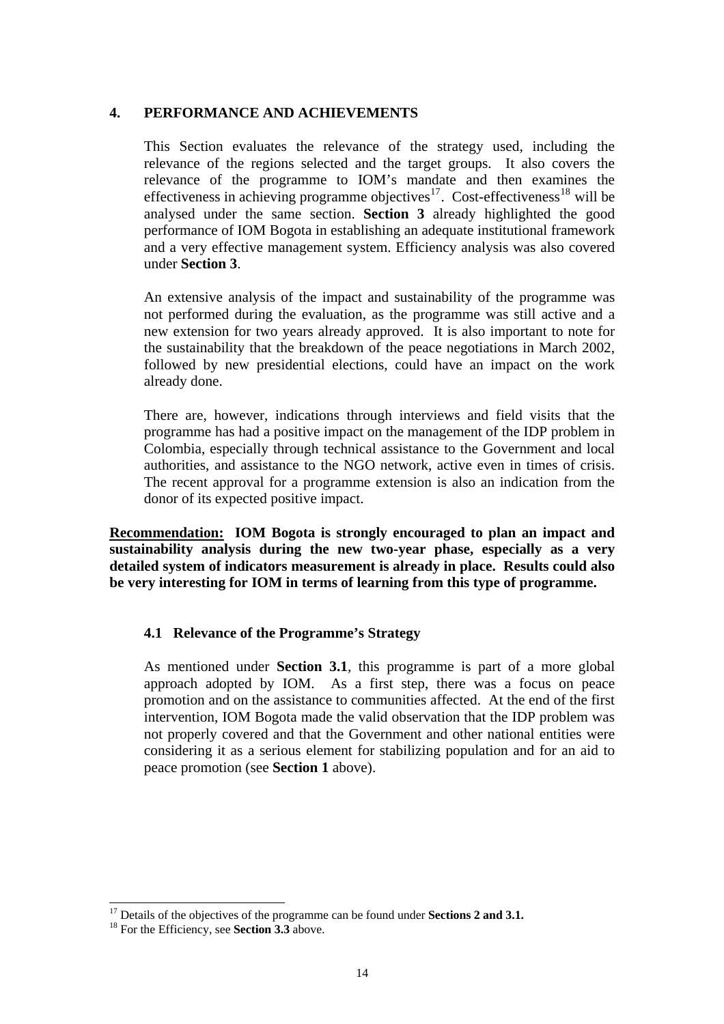### **4. PERFORMANCE AND ACHIEVEMENTS**

This Section evaluates the relevance of the strategy used, including the relevance of the regions selected and the target groups. It also covers the relevance of the programme to IOM's mandate and then examines the effectiveness in achieving programme objectives<sup>[17](#page-17-0)</sup>. Cost-effectiveness<sup>[18](#page-17-1)</sup> will be analysed under the same section. **Section 3** already highlighted the good performance of IOM Bogota in establishing an adequate institutional framework and a very effective management system. Efficiency analysis was also covered under **Section 3**.

An extensive analysis of the impact and sustainability of the programme was not performed during the evaluation, as the programme was still active and a new extension for two years already approved. It is also important to note for the sustainability that the breakdown of the peace negotiations in March 2002, followed by new presidential elections, could have an impact on the work already done.

There are, however, indications through interviews and field visits that the programme has had a positive impact on the management of the IDP problem in Colombia, especially through technical assistance to the Government and local authorities, and assistance to the NGO network, active even in times of crisis. The recent approval for a programme extension is also an indication from the donor of its expected positive impact.

**Recommendation: IOM Bogota is strongly encouraged to plan an impact and sustainability analysis during the new two-year phase, especially as a very detailed system of indicators measurement is already in place. Results could also be very interesting for IOM in terms of learning from this type of programme.** 

# **4.1 Relevance of the Programme's Strategy**

As mentioned under **Section 3.1**, this programme is part of a more global approach adopted by IOM. As a first step, there was a focus on peace promotion and on the assistance to communities affected. At the end of the first intervention, IOM Bogota made the valid observation that the IDP problem was not properly covered and that the Government and other national entities were considering it as a serious element for stabilizing population and for an aid to peace promotion (see **Section 1** above).

 $\overline{\phantom{a}}$ 

<span id="page-17-0"></span><sup>&</sup>lt;sup>17</sup> Details of the objectives of the programme can be found under **Sections 2 and 3.1.** <sup>18</sup> For the Efficiency, see **Section 3.3** above.

<span id="page-17-1"></span>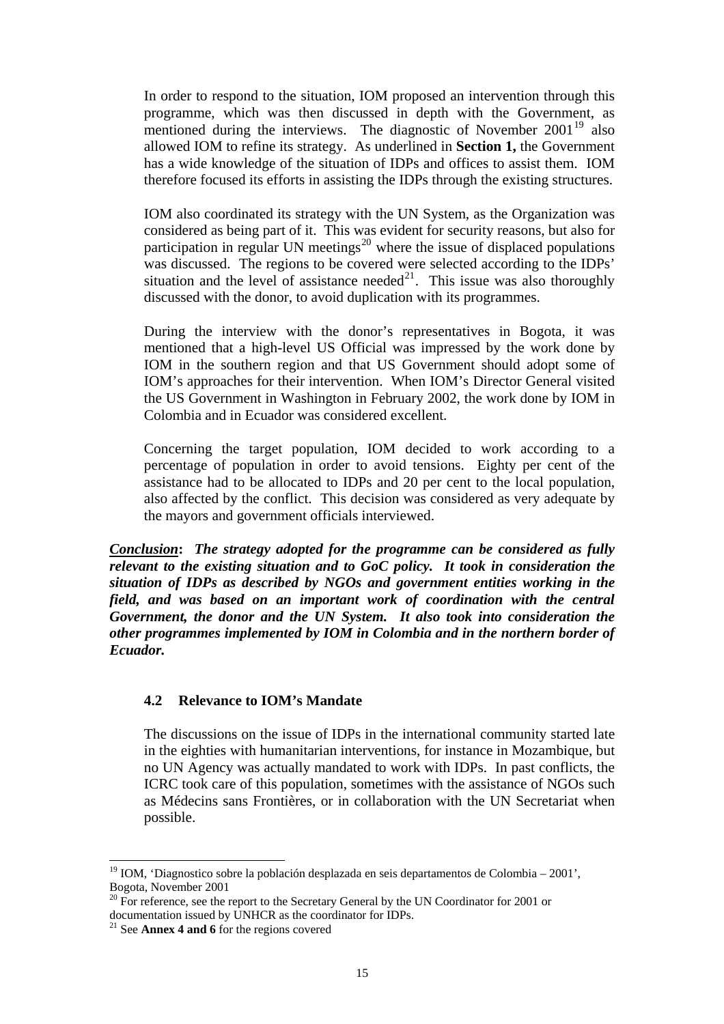In order to respond to the situation, IOM proposed an intervention through this programme, which was then discussed in depth with the Government, as mentioned during the interviews. The diagnostic of November  $2001^{19}$  $2001^{19}$  $2001^{19}$  also allowed IOM to refine its strategy. As underlined in **Section 1,** the Government has a wide knowledge of the situation of IDPs and offices to assist them. IOM therefore focused its efforts in assisting the IDPs through the existing structures.

IOM also coordinated its strategy with the UN System, as the Organization was considered as being part of it. This was evident for security reasons, but also for participation in regular UN meetings<sup>[20](#page-18-1)</sup> where the issue of displaced populations was discussed. The regions to be covered were selected according to the IDPs' situation and the level of assistance needed<sup>[21](#page-18-2)</sup>. This issue was also thoroughly discussed with the donor, to avoid duplication with its programmes.

During the interview with the donor's representatives in Bogota, it was mentioned that a high-level US Official was impressed by the work done by IOM in the southern region and that US Government should adopt some of IOM's approaches for their intervention. When IOM's Director General visited the US Government in Washington in February 2002, the work done by IOM in Colombia and in Ecuador was considered excellent.

Concerning the target population, IOM decided to work according to a percentage of population in order to avoid tensions. Eighty per cent of the assistance had to be allocated to IDPs and 20 per cent to the local population, also affected by the conflict. This decision was considered as very adequate by the mayors and government officials interviewed.

*Conclusion***:** *The strategy adopted for the programme can be considered as fully relevant to the existing situation and to GoC policy. It took in consideration the situation of IDPs as described by NGOs and government entities working in the field, and was based on an important work of coordination with the central Government, the donor and the UN System. It also took into consideration the other programmes implemented by IOM in Colombia and in the northern border of Ecuador.* 

### **4.2 Relevance to IOM's Mandate**

The discussions on the issue of IDPs in the international community started late in the eighties with humanitarian interventions, for instance in Mozambique, but no UN Agency was actually mandated to work with IDPs. In past conflicts, the ICRC took care of this population, sometimes with the assistance of NGOs such as Médecins sans Frontières, or in collaboration with the UN Secretariat when possible.

 $\overline{\phantom{a}}$ 

<span id="page-18-0"></span><sup>&</sup>lt;sup>19</sup> IOM, 'Diagnostico sobre la población desplazada en seis departamentos de Colombia – 2001', Bogota, November 2001

<span id="page-18-1"></span><sup>&</sup>lt;sup>20</sup> For reference, see the report to the Secretary General by the UN Coordinator for 2001 or documentation issued by UNHCR as the coordinator for IDPs.

<span id="page-18-2"></span><sup>21</sup> See **Annex 4 and 6** for the regions covered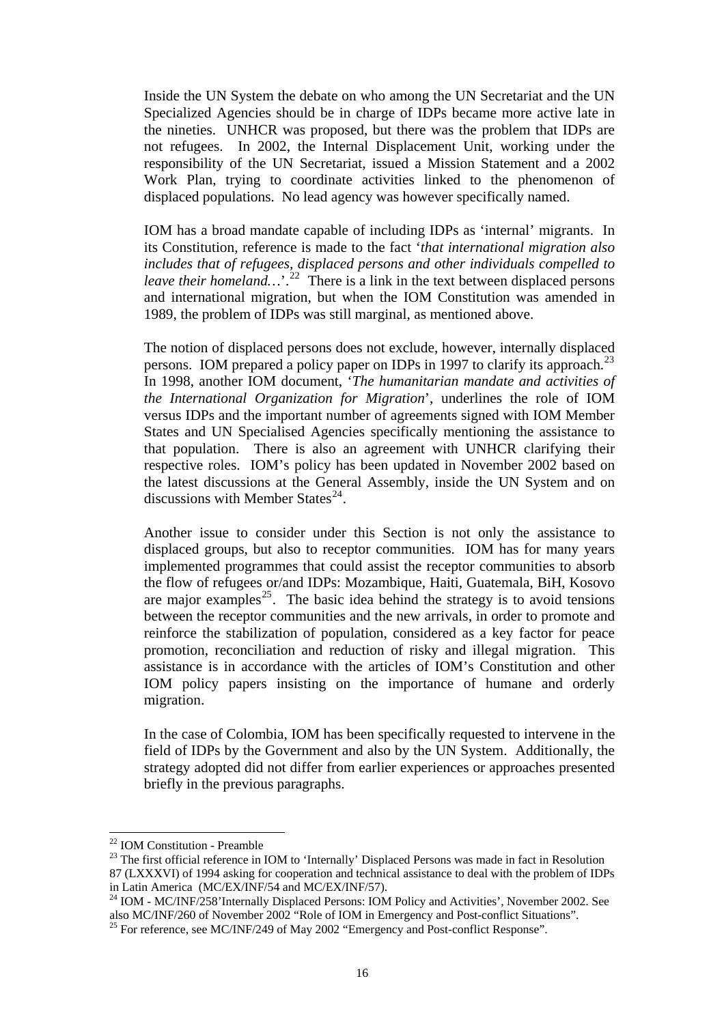Inside the UN System the debate on who among the UN Secretariat and the UN Specialized Agencies should be in charge of IDPs became more active late in the nineties. UNHCR was proposed, but there was the problem that IDPs are not refugees. In 2002, the Internal Displacement Unit, working under the responsibility of the UN Secretariat, issued a Mission Statement and a 2002 Work Plan, trying to coordinate activities linked to the phenomenon of displaced populations. No lead agency was however specifically named.

IOM has a broad mandate capable of including IDPs as 'internal' migrants. In its Constitution, reference is made to the fact '*that international migration also includes that of refugees, displaced persons and other individuals compelled to leave their homeland*...<sup>[22](#page-19-0)</sup> There is a link in the text between displaced persons and international migration, but when the IOM Constitution was amended in 1989, the problem of IDPs was still marginal, as mentioned above.

The notion of displaced persons does not exclude, however, internally displaced persons. IOM prepared a policy paper on IDPs in 1997 to clarify its approach.<sup>[23](#page-19-1)</sup> In 1998, another IOM document, '*The humanitarian mandate and activities of the International Organization for Migration*', underlines the role of IOM versus IDPs and the important number of agreements signed with IOM Member States and UN Specialised Agencies specifically mentioning the assistance to that population. There is also an agreement with UNHCR clarifying their respective roles. IOM's policy has been updated in November 2002 based on the latest discussions at the General Assembly, inside the UN System and on discussions with Member States $^{24}$  $^{24}$  $^{24}$ .

Another issue to consider under this Section is not only the assistance to displaced groups, but also to receptor communities. IOM has for many years implemented programmes that could assist the receptor communities to absorb the flow of refugees or/and IDPs: Mozambique, Haiti, Guatemala, BiH, Kosovo are major examples<sup>[25](#page-19-3)</sup>. The basic idea behind the strategy is to avoid tensions between the receptor communities and the new arrivals, in order to promote and reinforce the stabilization of population, considered as a key factor for peace promotion, reconciliation and reduction of risky and illegal migration. This assistance is in accordance with the articles of IOM's Constitution and other IOM policy papers insisting on the importance of humane and orderly migration.

In the case of Colombia, IOM has been specifically requested to intervene in the field of IDPs by the Government and also by the UN System. Additionally, the strategy adopted did not differ from earlier experiences or approaches presented briefly in the previous paragraphs.

 $\overline{a}$ 

<sup>22</sup> IOM Constitution - Preamble

<span id="page-19-1"></span><span id="page-19-0"></span><sup>&</sup>lt;sup>23</sup> The first official reference in IOM to 'Internally' Displaced Persons was made in fact in Resolution 87 (LXXXVI) of 1994 asking for cooperation and technical assistance to deal with the problem of IDPs in Latin America (MC/EX/INF/54 and MC/EX/INF/57).

<span id="page-19-2"></span><sup>&</sup>lt;sup>24</sup> IOM - MC/INF/258'Internally Displaced Persons: IOM Policy and Activities', November 2002. See also MC/INF/260 of November 2002 "Role of IOM in Emergency and Post-conflict Situations".

<span id="page-19-3"></span> $^{25}$  For reference, see MC/INF/249 of May 2002 "Emergency and Post-conflict Response".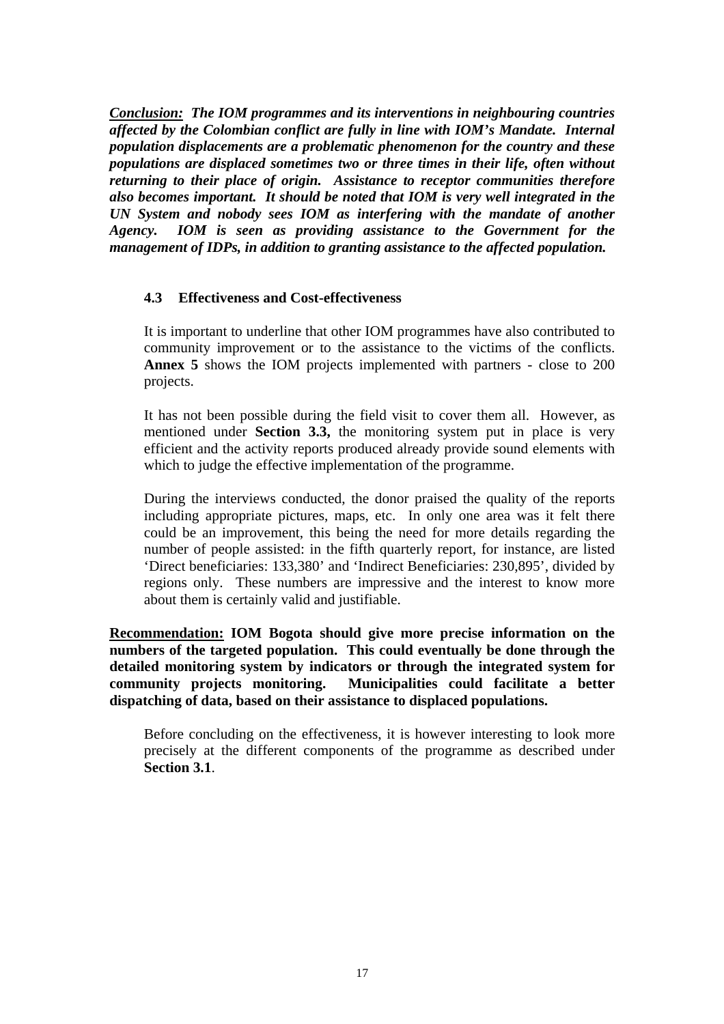*Conclusion:**The IOM programmes and its interventions in neighbouring countries affected by the Colombian conflict are fully in line with IOM's Mandate. Internal population displacements are a problematic phenomenon for the country and these populations are displaced sometimes two or three times in their life, often without returning to their place of origin. Assistance to receptor communities therefore also becomes important. It should be noted that IOM is very well integrated in the UN System and nobody sees IOM as interfering with the mandate of another Agency. IOM is seen as providing assistance to the Government for the management of IDPs, in addition to granting assistance to the affected population.* 

### **4.3 Effectiveness and Cost-effectiveness**

It is important to underline that other IOM programmes have also contributed to community improvement or to the assistance to the victims of the conflicts. **Annex 5** shows the IOM projects implemented with partners - close to 200 projects.

It has not been possible during the field visit to cover them all. However, as mentioned under **Section 3.3,** the monitoring system put in place is very efficient and the activity reports produced already provide sound elements with which to judge the effective implementation of the programme.

During the interviews conducted, the donor praised the quality of the reports including appropriate pictures, maps, etc. In only one area was it felt there could be an improvement, this being the need for more details regarding the number of people assisted: in the fifth quarterly report, for instance, are listed 'Direct beneficiaries: 133,380' and 'Indirect Beneficiaries: 230,895', divided by regions only. These numbers are impressive and the interest to know more about them is certainly valid and justifiable.

**Recommendation: IOM Bogota should give more precise information on the numbers of the targeted population. This could eventually be done through the detailed monitoring system by indicators or through the integrated system for community projects monitoring. Municipalities could facilitate a better dispatching of data, based on their assistance to displaced populations.** 

Before concluding on the effectiveness, it is however interesting to look more precisely at the different components of the programme as described under **Section 3.1**.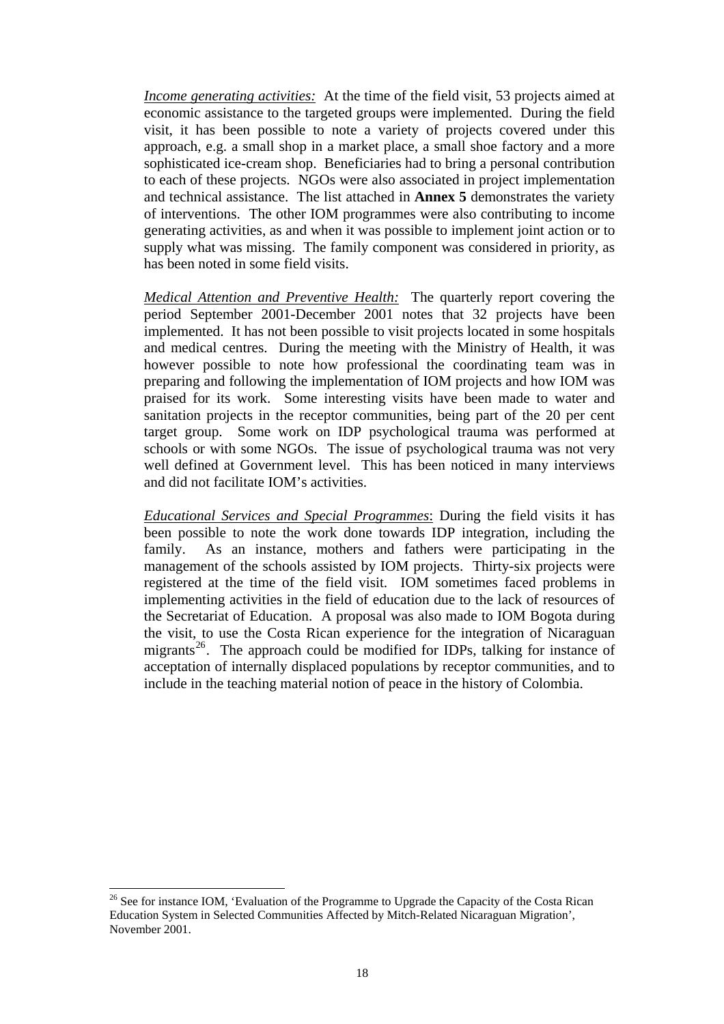*Income generating activities:* At the time of the field visit, 53 projects aimed at economic assistance to the targeted groups were implemented. During the field visit, it has been possible to note a variety of projects covered under this approach, e.g. a small shop in a market place, a small shoe factory and a more sophisticated ice-cream shop. Beneficiaries had to bring a personal contribution to each of these projects. NGOs were also associated in project implementation and technical assistance. The list attached in **Annex 5** demonstrates the variety of interventions. The other IOM programmes were also contributing to income generating activities, as and when it was possible to implement joint action or to supply what was missing. The family component was considered in priority, as has been noted in some field visits.

*Medical Attention and Preventive Health:* The quarterly report covering the period September 2001-December 2001 notes that 32 projects have been implemented. It has not been possible to visit projects located in some hospitals and medical centres. During the meeting with the Ministry of Health, it was however possible to note how professional the coordinating team was in preparing and following the implementation of IOM projects and how IOM was praised for its work. Some interesting visits have been made to water and sanitation projects in the receptor communities, being part of the 20 per cent target group. Some work on IDP psychological trauma was performed at schools or with some NGOs. The issue of psychological trauma was not very well defined at Government level. This has been noticed in many interviews and did not facilitate IOM's activities.

*Educational Services and Special Programmes*: During the field visits it has been possible to note the work done towards IDP integration, including the family. As an instance, mothers and fathers were participating in the management of the schools assisted by IOM projects. Thirty-six projects were registered at the time of the field visit. IOM sometimes faced problems in implementing activities in the field of education due to the lack of resources of the Secretariat of Education. A proposal was also made to IOM Bogota during the visit, to use the Costa Rican experience for the integration of Nicaraguan migrants<sup>[26](#page-21-0)</sup>. The approach could be modified for IDPs, talking for instance of acceptation of internally displaced populations by receptor communities, and to include in the teaching material notion of peace in the history of Colombia.

 $\overline{\phantom{a}}$ 

<span id="page-21-0"></span> $26$  See for instance IOM, 'Evaluation of the Programme to Upgrade the Capacity of the Costa Rican Education System in Selected Communities Affected by Mitch-Related Nicaraguan Migration', November 2001.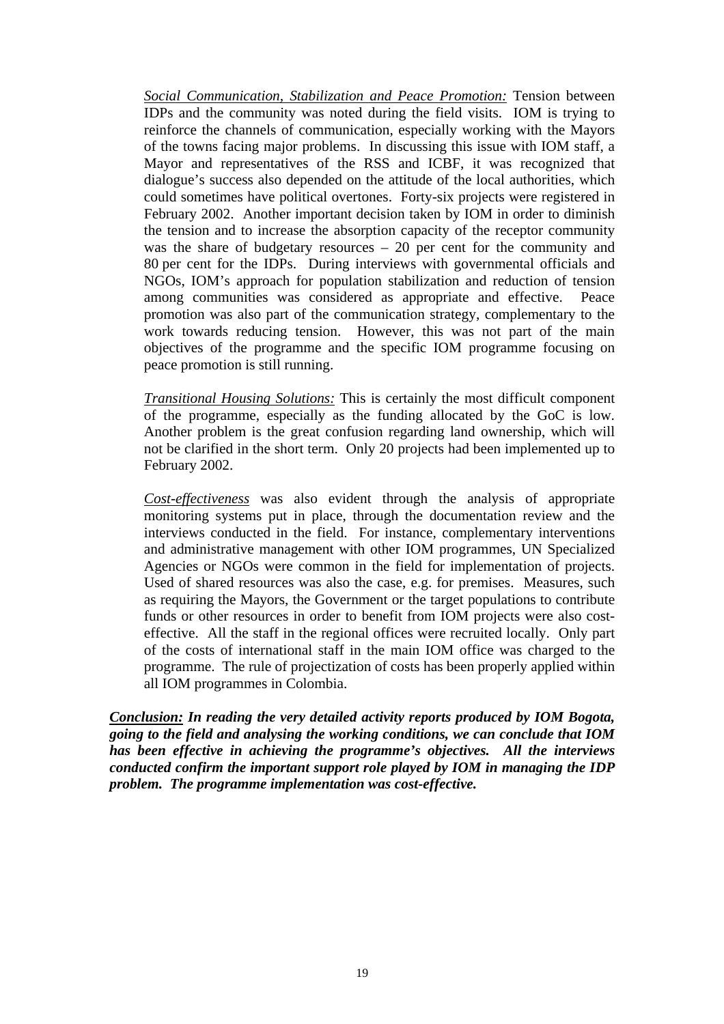*Social Communication, Stabilization and Peace Promotion:* Tension between IDPs and the community was noted during the field visits. IOM is trying to reinforce the channels of communication, especially working with the Mayors of the towns facing major problems. In discussing this issue with IOM staff, a Mayor and representatives of the RSS and ICBF, it was recognized that dialogue's success also depended on the attitude of the local authorities, which could sometimes have political overtones. Forty-six projects were registered in February 2002. Another important decision taken by IOM in order to diminish the tension and to increase the absorption capacity of the receptor community was the share of budgetary resources – 20 per cent for the community and 80 per cent for the IDPs. During interviews with governmental officials and NGOs, IOM's approach for population stabilization and reduction of tension among communities was considered as appropriate and effective. Peace promotion was also part of the communication strategy, complementary to the work towards reducing tension. However, this was not part of the main objectives of the programme and the specific IOM programme focusing on peace promotion is still running.

*Transitional Housing Solutions:* This is certainly the most difficult component of the programme, especially as the funding allocated by the GoC is low. Another problem is the great confusion regarding land ownership, which will not be clarified in the short term. Only 20 projects had been implemented up to February 2002.

*Cost-effectiveness* was also evident through the analysis of appropriate monitoring systems put in place, through the documentation review and the interviews conducted in the field. For instance, complementary interventions and administrative management with other IOM programmes, UN Specialized Agencies or NGOs were common in the field for implementation of projects. Used of shared resources was also the case, e.g. for premises. Measures, such as requiring the Mayors, the Government or the target populations to contribute funds or other resources in order to benefit from IOM projects were also costeffective. All the staff in the regional offices were recruited locally. Only part of the costs of international staff in the main IOM office was charged to the programme. The rule of projectization of costs has been properly applied within all IOM programmes in Colombia.

*Conclusion: In reading the very detailed activity reports produced by IOM Bogota, going to the field and analysing the working conditions, we can conclude that IOM has been effective in achieving the programme's objectives. All the interviews conducted confirm the important support role played by IOM in managing the IDP problem. The programme implementation was cost-effective.*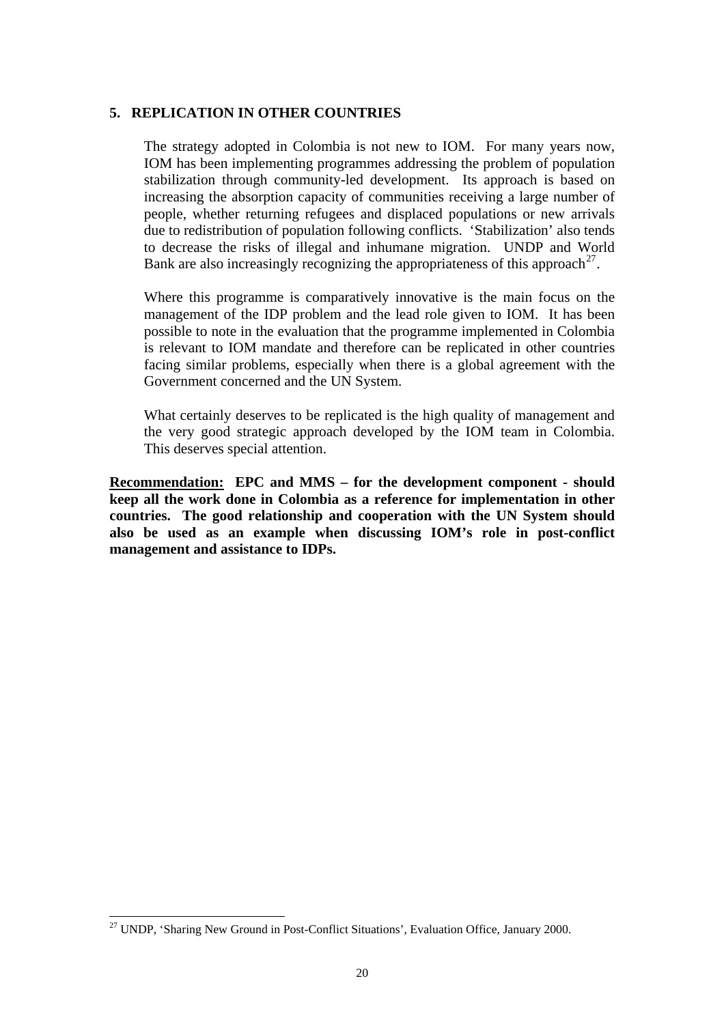#### **5. REPLICATION IN OTHER COUNTRIES**

The strategy adopted in Colombia is not new to IOM. For many years now, IOM has been implementing programmes addressing the problem of population stabilization through community-led development. Its approach is based on increasing the absorption capacity of communities receiving a large number of people, whether returning refugees and displaced populations or new arrivals due to redistribution of population following conflicts. 'Stabilization' also tends to decrease the risks of illegal and inhumane migration. UNDP and World Bank are also increasingly recognizing the appropriateness of this approach<sup>[27](#page-23-0)</sup>.

Where this programme is comparatively innovative is the main focus on the management of the IDP problem and the lead role given to IOM. It has been possible to note in the evaluation that the programme implemented in Colombia is relevant to IOM mandate and therefore can be replicated in other countries facing similar problems, especially when there is a global agreement with the Government concerned and the UN System.

What certainly deserves to be replicated is the high quality of management and the very good strategic approach developed by the IOM team in Colombia. This deserves special attention.

**Recommendation: EPC and MMS – for the development component - should keep all the work done in Colombia as a reference for implementation in other countries. The good relationship and cooperation with the UN System should also be used as an example when discussing IOM's role in post-conflict management and assistance to IDPs.** 

l

<span id="page-23-0"></span><sup>&</sup>lt;sup>27</sup> UNDP, 'Sharing New Ground in Post-Conflict Situations', Evaluation Office, January 2000.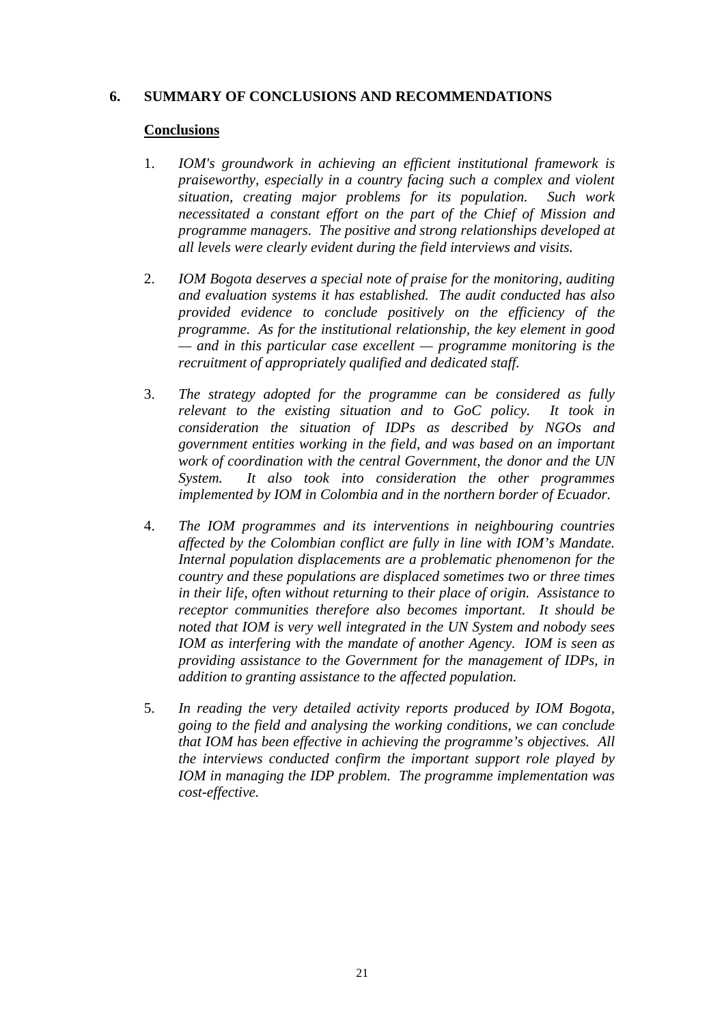### **6. SUMMARY OF CONCLUSIONS AND RECOMMENDATIONS**

#### **Conclusions**

- 1. *IOM's groundwork in achieving an efficient institutional framework is praiseworthy, especially in a country facing such a complex and violent situation, creating major problems for its population. Such work necessitated a constant effort on the part of the Chief of Mission and programme managers. The positive and strong relationships developed at all levels were clearly evident during the field interviews and visits.*
- 2. *IOM Bogota deserves a special note of praise for the monitoring, auditing and evaluation systems it has established. The audit conducted has also provided evidence to conclude positively on the efficiency of the programme. As for the institutional relationship, the key element in good — and in this particular case excellent — programme monitoring is the recruitment of appropriately qualified and dedicated staff.*
- 3. *The strategy adopted for the programme can be considered as fully relevant to the existing situation and to GoC policy. It took in consideration the situation of IDPs as described by NGOs and government entities working in the field, and was based on an important work of coordination with the central Government, the donor and the UN System. It also took into consideration the other programmes implemented by IOM in Colombia and in the northern border of Ecuador.*
- 4. *The IOM programmes and its interventions in neighbouring countries affected by the Colombian conflict are fully in line with IOM's Mandate. Internal population displacements are a problematic phenomenon for the country and these populations are displaced sometimes two or three times in their life, often without returning to their place of origin. Assistance to receptor communities therefore also becomes important. It should be noted that IOM is very well integrated in the UN System and nobody sees IOM as interfering with the mandate of another Agency. IOM is seen as providing assistance to the Government for the management of IDPs, in addition to granting assistance to the affected population.*
- 5. *In reading the very detailed activity reports produced by IOM Bogota, going to the field and analysing the working conditions, we can conclude that IOM has been effective in achieving the programme's objectives. All the interviews conducted confirm the important support role played by IOM in managing the IDP problem. The programme implementation was cost-effective.*